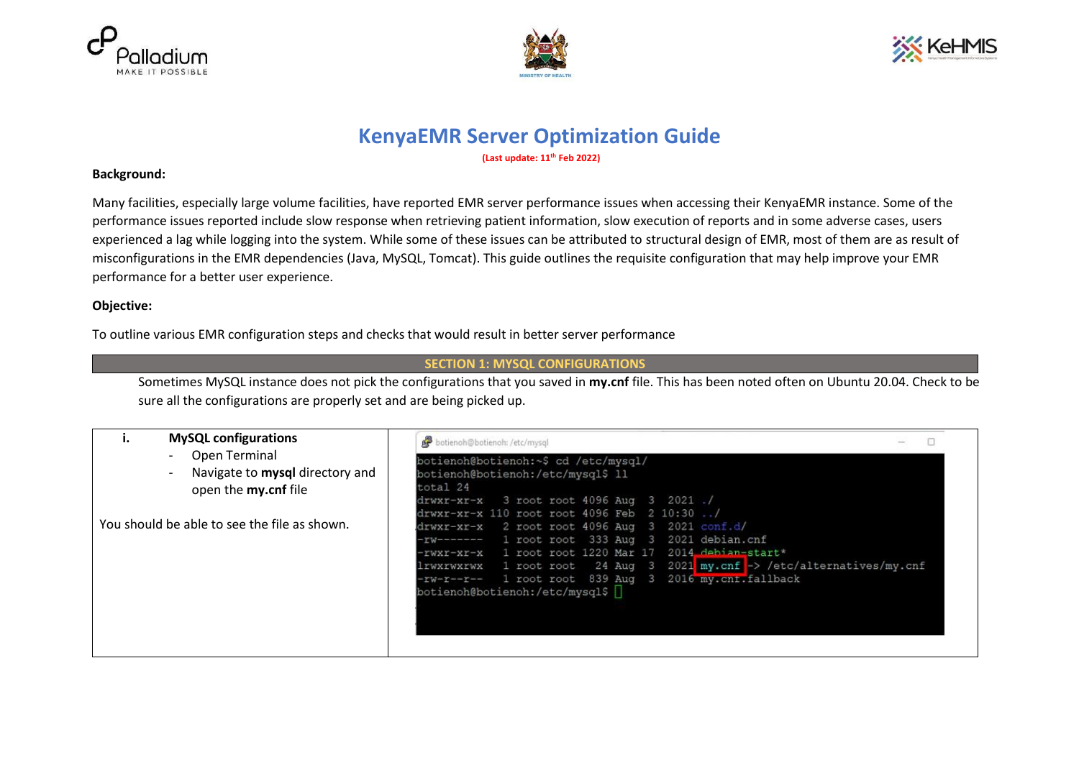





# **KenyaEMR Server Optimization Guide**

**(Last update: 11th Feb 2022)**

#### **Background:**

Many facilities, especially large volume facilities, have reported EMR server performance issues when accessing their KenyaEMR instance. Some of the performance issues reported include slow response when retrieving patient information, slow execution of reports and in some adverse cases, users experienced a lag while logging into the system. While some of these issues can be attributed to structural design of EMR, most of them are as result of misconfigurations in the EMR dependencies (Java, MySQL, Tomcat). This guide outlines the requisite configuration that may help improve your EMR performance for a better user experience.

#### **Objective:**

To outline various EMR configuration steps and checks that would result in better server performance

#### **SECTION 1: MYSQL CONFIGURATIONS**

Sometimes MySQL instance does not pick the configurations that you saved in **my.cnf** file. This has been noted often on Ubuntu 20.04. Check to be sure all the configurations are properly set and are being picked up.

| <b>MySQL configurations</b>                                                     | botienoh@botienoh: /etc/mysql                                                                                                                                                                                                                                                                                                                                                          |
|---------------------------------------------------------------------------------|----------------------------------------------------------------------------------------------------------------------------------------------------------------------------------------------------------------------------------------------------------------------------------------------------------------------------------------------------------------------------------------|
| Open Terminal<br>Navigate to mysql directory and<br>open the <b>my.cnf</b> file | botienoh@botienoh:~\$ cd /etc/mysql/<br>botienoh@botienoh:/etc/mysql\$ 11<br>total 24<br>drwxr-xr-x 3 root root 4096 Aug 3 2021./                                                                                                                                                                                                                                                      |
| You should be able to see the file as shown.                                    | drwxr-xr-x 110 root root 4096 Feb 2 10:30 /<br>$d$ rwxr-xr-x 2 root root 4096 Aug 3 2021 conf.d/<br>$-rw$ ------- 1 root root 333 Aug 3 2021 debian.cnf<br>-rwxr-xr-x 1 root root 1220 Mar 17 2014 debian-start*<br>lrwxrwxrwx 1 root root 24 Aug 3 2021 my.cnf -> /etc/alternatives/my.cnf<br>-rw-r--r-- 1 root root 839 Aug 3 2016 my.cnt.fallback<br>botienoh@botienoh:/etc/mysql\$ |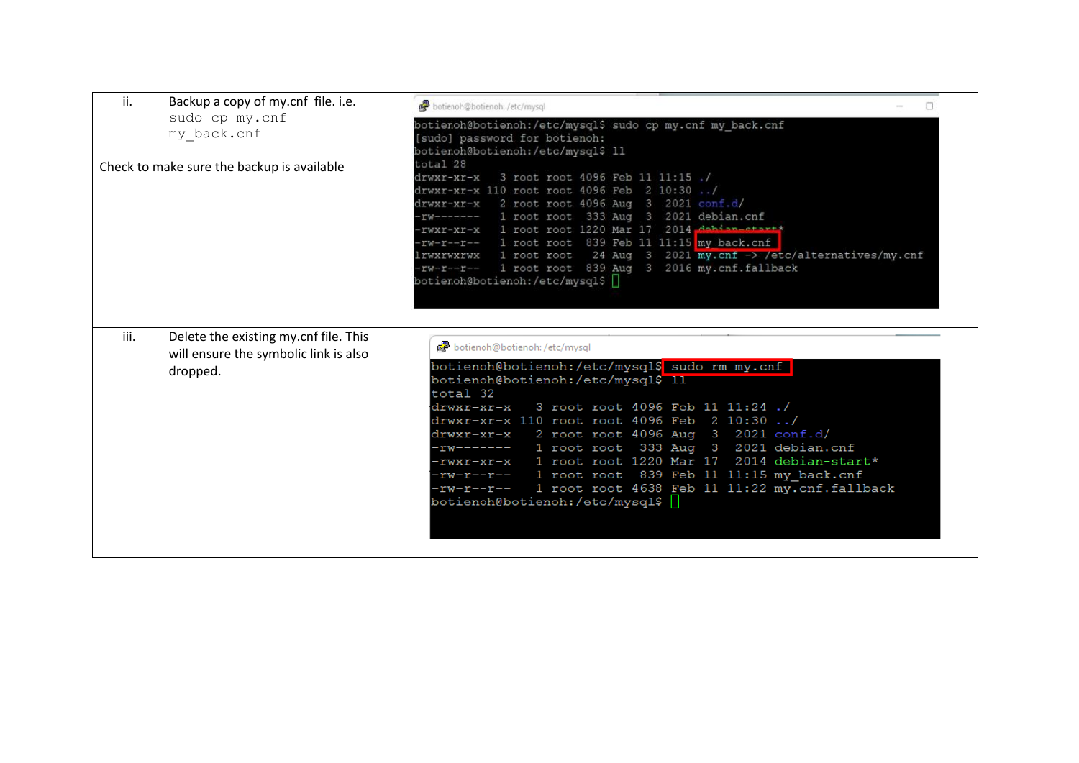| ii.<br>Backup a copy of my.cnf file. i.e.                                                          | botienoh@botienoh: /etc/mysql                                                                                                                                                                                                                                                                                                                                                                                                                                                                                                                     |
|----------------------------------------------------------------------------------------------------|---------------------------------------------------------------------------------------------------------------------------------------------------------------------------------------------------------------------------------------------------------------------------------------------------------------------------------------------------------------------------------------------------------------------------------------------------------------------------------------------------------------------------------------------------|
| sudo cp my.cnf<br>my_back.cnf                                                                      | botienoh@botienoh:/etc/mysql\$ sudo cp my.cnf my back.cnf<br>[sudo] password for botienoh:<br>botienoh@botienoh:/etc/mysql\$ 11                                                                                                                                                                                                                                                                                                                                                                                                                   |
| Check to make sure the backup is available                                                         | total 28<br>drwxr-xr-x 3 root root 4096 Feb 11 11:15 ./<br>drwxr-xr-x 110 root root 4096 Feb 2 10:30 /<br>drwxr-xr-x 2 root root 4096 Aug 3 2021 conf.d/<br>rw------- 1 root root 333 Aug 3 2021 debian.cnf<br>-rwxr-xr-x 1 root root 1220 Mar 17 2014 debian-start*<br>-rw-r--r-- 1 root root 839 Feb 11 11:15 my back.cnf<br>lrwxrwxrwx 1 root root 24 Aug 3 2021 my.cnf -> /etc/alternatives/my.cnf<br>-rw-r--r-- 1 root root 839 Aug 3 2016 my.cnf.fallback<br>botienoh@botienoh:/etc/mysql\$                                                 |
| Delete the existing my.cnf file. This<br>iii.<br>will ensure the symbolic link is also<br>dropped. | botienoh@botienoh: /etc/mysql<br>botienoh@botienoh:/etc/mysql\$ sudo rm my.cnf<br>botienoh@botienoh:/etc/mysql\$ 11<br>total 32<br>drwxr-xr-x 3 root root 4096 Feb 11 11:24 ./<br>drwxr-xr-x 110 root root 4096 Feb 2 10:30 /<br>drwxr-xr-x 2 root root 4096 Aug 3 2021 conf.d/<br>-rw------- 1 root root 333 Aug 3 2021 debian.cnf<br>-rwxr-xr-x 1 root root 1220 Mar 17 2014 debian-start*<br>-rw-r--r-- 1 root root 839 Feb 11 11:15 my back.cnf<br>-rw-r--r-- 1 root root 4638 Feb 11 11:22 my.cnf.fallback<br>botienoh@botienoh:/etc/mysql\$ |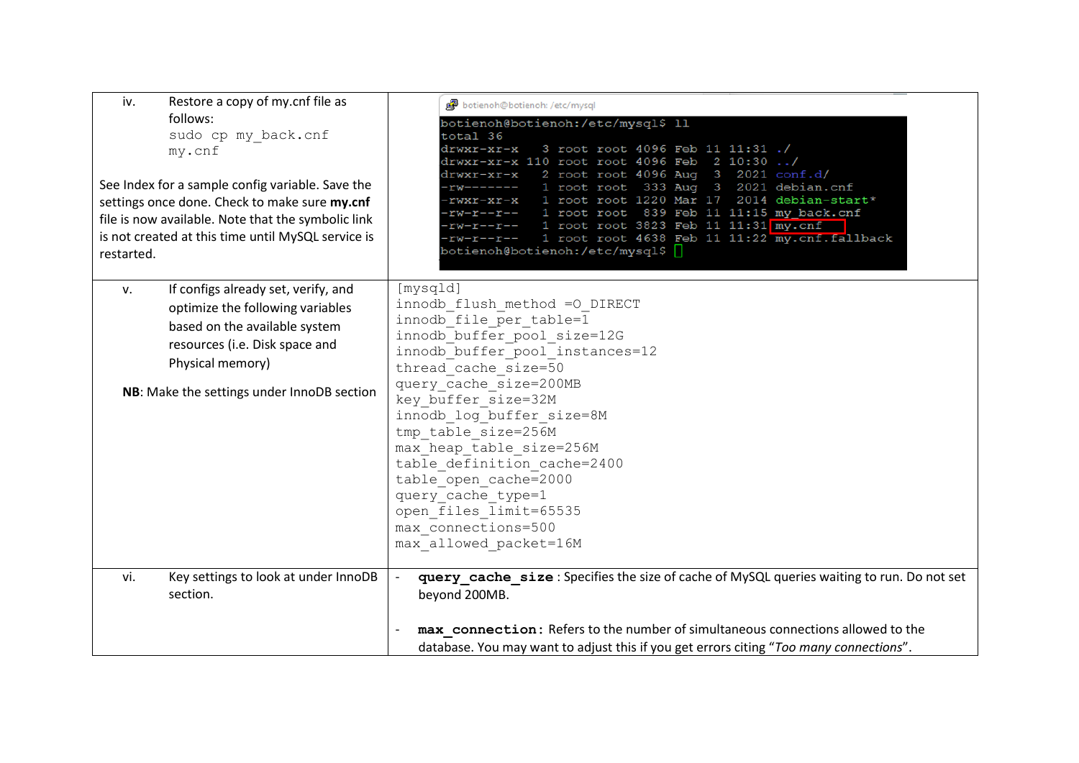| Restore a copy of my.cnf file as<br>iv.                                                                                                                                                                                                                                  | botienoh@botienoh: /etc/mysql                                                                                                                                                                                                                                                                                                                                                                                                                                                                                             |  |  |  |  |
|--------------------------------------------------------------------------------------------------------------------------------------------------------------------------------------------------------------------------------------------------------------------------|---------------------------------------------------------------------------------------------------------------------------------------------------------------------------------------------------------------------------------------------------------------------------------------------------------------------------------------------------------------------------------------------------------------------------------------------------------------------------------------------------------------------------|--|--|--|--|
| follows:<br>sudo cp my_back.cnf<br>my.cnf<br>See Index for a sample config variable. Save the<br>settings once done. Check to make sure my.cnf<br>file is now available. Note that the symbolic link<br>is not created at this time until MySQL service is<br>restarted. | botienoh@botienoh:/etc/mysql\$ 11<br>total 36<br>3 root root 4096 Feb 11 11:31 ./<br>drwxr-xr-x<br>drwxr-xr-x 110 root root 4096 Feb 2 10:30 /<br>2 root root 4096 Aug 3 2021 conf.d/<br>drwxr-xr-x<br>-rw------- 1 root root 333 Aug 3 2021 debian.cnf<br>1 root root 1220 Mar 17 2014 debian-start*<br>rwxr-xr-x<br>rw-r--r-- 1 root root 839 Feb 11 11:15 my back.cnf<br>-rw-r--r-- 1 root root 3823 Feb 11 11:31 my.cnf<br>-rw-r--r-- 1 root root 4638 Feb 11 11:22 my.cnf.fallback<br>botienoh@botienoh:/etc/mysql\$ |  |  |  |  |
| If configs already set, verify, and<br>v.<br>optimize the following variables<br>based on the available system<br>resources (i.e. Disk space and<br>Physical memory)<br>NB: Make the settings under InnoDB section                                                       | [mysqld]<br>innodb flush method =0 DIRECT<br>innodb file per table=1<br>innodb buffer pool size=12G<br>innodb buffer pool instances=12<br>thread cache size=50<br>query cache size=200MB<br>key buffer size=32M<br>innodb log buffer size=8M<br>tmp table size=256M<br>max heap table size=256M<br>table definition cache=2400<br>table open cache=2000<br>query cache type=1<br>open files limit=65535<br>max connections=500<br>max allowed packet=16M                                                                  |  |  |  |  |
| Key settings to look at under InnoDB<br>vi.<br>section.                                                                                                                                                                                                                  | query cache size: Specifies the size of cache of MySQL queries waiting to run. Do not set<br>beyond 200MB.<br>max connection: Refers to the number of simultaneous connections allowed to the<br>database. You may want to adjust this if you get errors citing "Too many connections".                                                                                                                                                                                                                                   |  |  |  |  |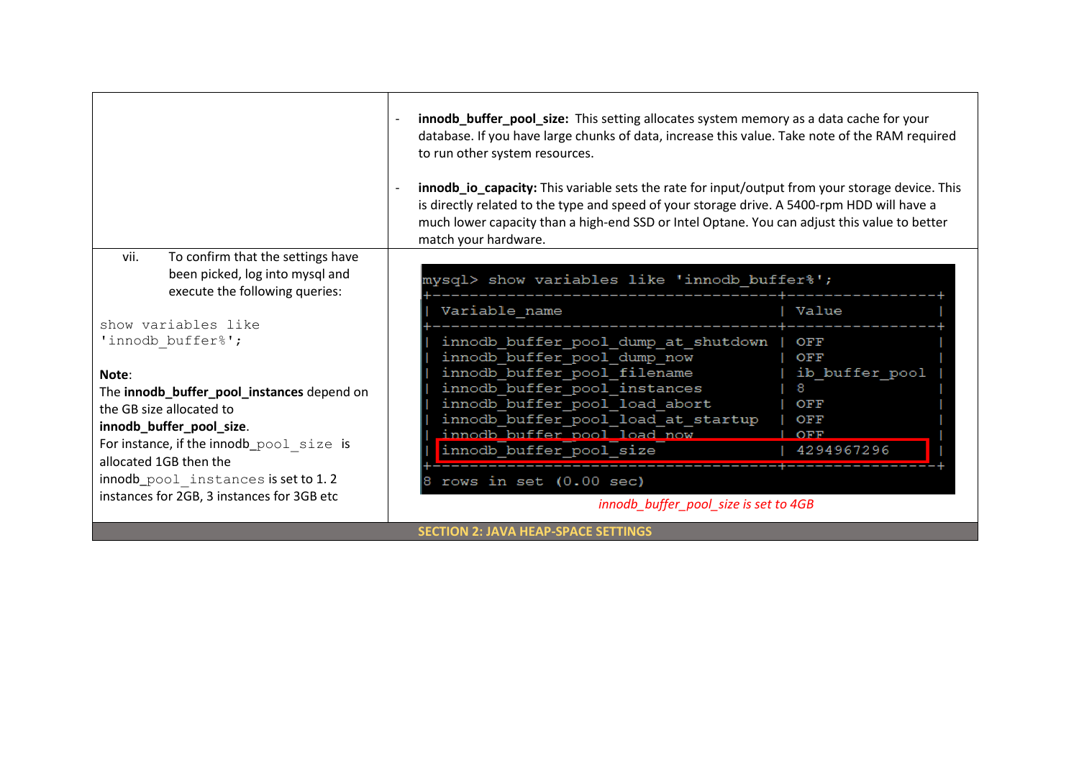|                                            | innodb_buffer_pool_size: This setting allocates system memory as a data cache for your<br>database. If you have large chunks of data, increase this value. Take note of the RAM required<br>to run other system resources.<br>innodb io capacity: This variable sets the rate for input/output from your storage device. This<br>is directly related to the type and speed of your storage drive. A 5400-rpm HDD will have a<br>much lower capacity than a high-end SSD or Intel Optane. You can adjust this value to better<br>match your hardware. |                |  |  |  |
|--------------------------------------------|------------------------------------------------------------------------------------------------------------------------------------------------------------------------------------------------------------------------------------------------------------------------------------------------------------------------------------------------------------------------------------------------------------------------------------------------------------------------------------------------------------------------------------------------------|----------------|--|--|--|
| vii.<br>To confirm that the settings have  |                                                                                                                                                                                                                                                                                                                                                                                                                                                                                                                                                      |                |  |  |  |
| been picked, log into mysql and            | mysql> show variables like 'innodb buffer%';                                                                                                                                                                                                                                                                                                                                                                                                                                                                                                         |                |  |  |  |
| execute the following queries:             |                                                                                                                                                                                                                                                                                                                                                                                                                                                                                                                                                      |                |  |  |  |
|                                            | Variable name                                                                                                                                                                                                                                                                                                                                                                                                                                                                                                                                        | Value          |  |  |  |
| show variables like                        |                                                                                                                                                                                                                                                                                                                                                                                                                                                                                                                                                      |                |  |  |  |
| 'innodb buffer%';                          | innodb buffer pool dump at shutdown                                                                                                                                                                                                                                                                                                                                                                                                                                                                                                                  | OFF            |  |  |  |
|                                            | innodb buffer pool dump now                                                                                                                                                                                                                                                                                                                                                                                                                                                                                                                          | OFF            |  |  |  |
| Note:                                      | innodb buffer pool filename                                                                                                                                                                                                                                                                                                                                                                                                                                                                                                                          | ib buffer pool |  |  |  |
| The innodb_buffer_pool_instances depend on | innodb buffer pool instances<br>innodb buffer pool load abort                                                                                                                                                                                                                                                                                                                                                                                                                                                                                        | 8<br>OFF       |  |  |  |
| the GB size allocated to                   | innodb buffer pool load at startup                                                                                                                                                                                                                                                                                                                                                                                                                                                                                                                   | OFF            |  |  |  |
| innodb_buffer_pool_size.                   | innodb buffer pool load now                                                                                                                                                                                                                                                                                                                                                                                                                                                                                                                          | OFF            |  |  |  |
| For instance, if the innodb_pool size is   | innodb_buffer_pool_size                                                                                                                                                                                                                                                                                                                                                                                                                                                                                                                              | 4294967296     |  |  |  |
| allocated 1GB then the                     |                                                                                                                                                                                                                                                                                                                                                                                                                                                                                                                                                      |                |  |  |  |
| innodb_pool instances is set to 1.2        | rows in set $(0.00 \text{ sec})$                                                                                                                                                                                                                                                                                                                                                                                                                                                                                                                     |                |  |  |  |
| instances for 2GB, 3 instances for 3GB etc | innodb_buffer_pool_size is set to 4GB                                                                                                                                                                                                                                                                                                                                                                                                                                                                                                                |                |  |  |  |
|                                            | <b>SECTION 2: JAVA HEAP-SPACE SETTINGS</b>                                                                                                                                                                                                                                                                                                                                                                                                                                                                                                           |                |  |  |  |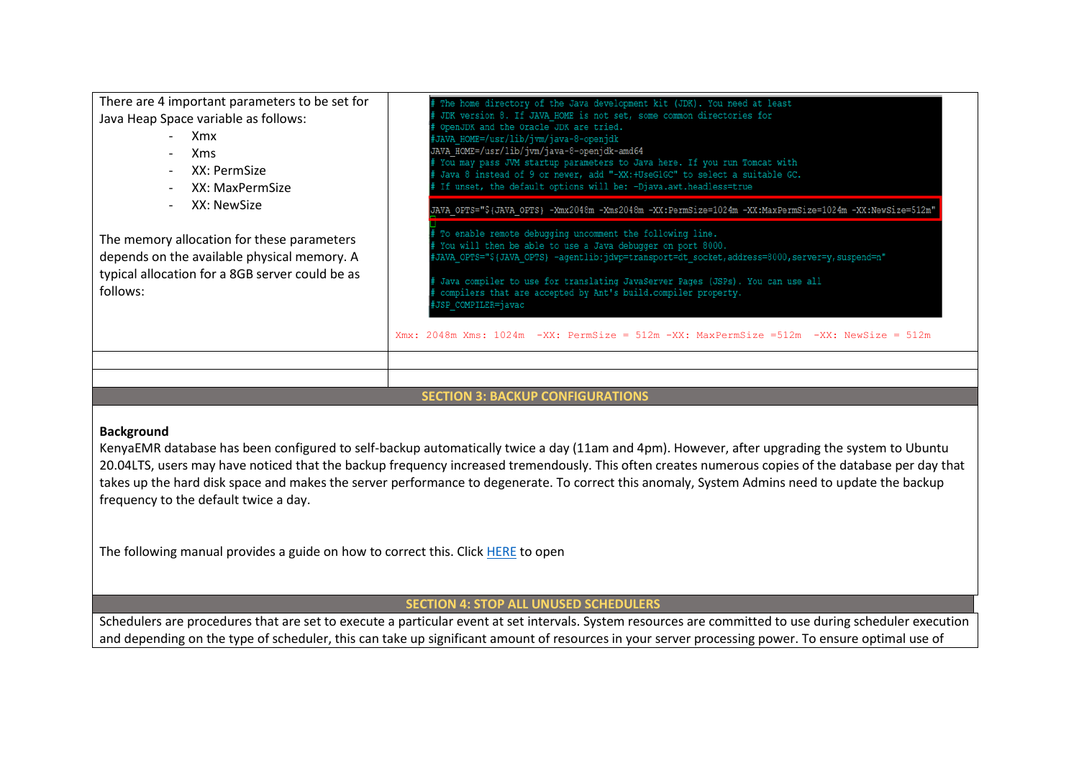| There are 4 important parameters to be set for                                                                                                           | The home directory of the Java development kit (JDK). You need at least                                                                                                                                                                                                                                                                                                                         |
|----------------------------------------------------------------------------------------------------------------------------------------------------------|-------------------------------------------------------------------------------------------------------------------------------------------------------------------------------------------------------------------------------------------------------------------------------------------------------------------------------------------------------------------------------------------------|
| Java Heap Space variable as follows:<br>Xmx<br>$\overline{\phantom{0}}$<br><b>Xms</b><br>$\overline{\phantom{0}}$                                        | JDK version 8. If JAVA HOME is not set, some common directories for<br>OpenJDK and the Oracle JDK are tried.<br>JAVA HOME=/usr/lib/jvm/java-8-openjdk<br>JAVA HOME=/usr/lib/jvm/java-8-openjdk-amd64<br>You may pass JVM startup parameters to Java here. If you run Tomcat with                                                                                                                |
| XX: PermSize<br>$\blacksquare$<br>XX: MaxPermSize<br>XX: NewSize<br>$\blacksquare$                                                                       | Java 8 instead of 9 or newer, add "-XX:+UseG1GC" to select a suitable GC.<br>If unset, the default options will be: -Djava.awt.headless=true<br>JAVA OPTS="\${JAVA OPTS} -Xmx2048m -Xms2048m -XX:PermSize=1024m -XX:MaxPermSize=1024m -XX:NewSize=512m"                                                                                                                                         |
| The memory allocation for these parameters<br>depends on the available physical memory. A<br>typical allocation for a 8GB server could be as<br>follows: | To enable remote debugging uncomment the following line.<br>You will then be able to use a Java debugger on port 8000.<br>"JAVA_OPTS="\${JAVA_OPTS} -agentlib:jdwp=transport=dt_socket,address=8000,server=y,suspend=n;<br>Java compiler to use for translating JavaServer Pages (JSPs). You can use all<br>compilers that are accepted by Ant's build.compiler property.<br>JSP COMPILER=javac |
|                                                                                                                                                          | Xmx: 2048m Xms: 1024m -XX: PermSize = 512m -XX: MaxPermSize =512m -XX: NewSize = 512m                                                                                                                                                                                                                                                                                                           |
|                                                                                                                                                          |                                                                                                                                                                                                                                                                                                                                                                                                 |
|                                                                                                                                                          |                                                                                                                                                                                                                                                                                                                                                                                                 |

#### **SECTION 3: BACKUP CONFIGURATIONS**

### **Background**

KenyaEMR database has been configured to self-backup automatically twice a day (11am and 4pm). However, after upgrading the system to Ubuntu 20.04LTS, users may have noticed that the backup frequency increased tremendously. This often creates numerous copies of the database per day that takes up the hard disk space and makes the server performance to degenerate. To correct this anomaly, System Admins need to update the backup frequency to the default twice a day.

The following manual provides a guide on how to correct this. Clic[k HERE](https://kenyahmis.org/knowledgebase/how-to-update-auto-backup-frequency-of-kenyaemr-database/) to open

## **SECTION 4: STOP ALL UNUSED SCHEDULERS**

Schedulers are procedures that are set to execute a particular event at set intervals. System resources are committed to use during scheduler execution and depending on the type of scheduler, this can take up significant amount of resources in your server processing power. To ensure optimal use of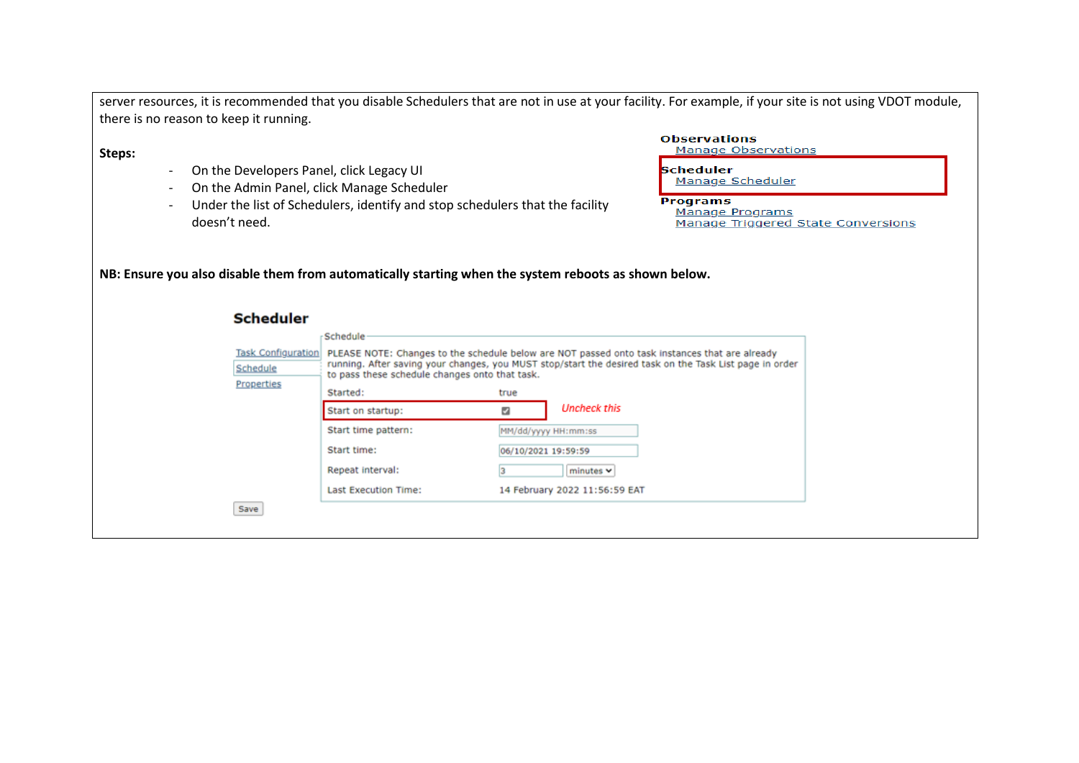|                                                                                                                          |                                                                                                                                                                                                                                                                                                                                                                                                   |                                                                                          |                                             | server resources, it is recommended that you disable Schedulers that are not in use at your facility. For example, if your site is not using VDOT module,             |
|--------------------------------------------------------------------------------------------------------------------------|---------------------------------------------------------------------------------------------------------------------------------------------------------------------------------------------------------------------------------------------------------------------------------------------------------------------------------------------------------------------------------------------------|------------------------------------------------------------------------------------------|---------------------------------------------|-----------------------------------------------------------------------------------------------------------------------------------------------------------------------|
| there is no reason to keep it running.                                                                                   |                                                                                                                                                                                                                                                                                                                                                                                                   |                                                                                          |                                             |                                                                                                                                                                       |
| Steps:<br>On the Developers Panel, click Legacy UI<br>On the Admin Panel, click Manage Scheduler<br>doesn't need.        | Under the list of Schedulers, identify and stop schedulers that the facility                                                                                                                                                                                                                                                                                                                      |                                                                                          |                                             | <b>Observations</b><br>Manage Observations<br><b>Scheduler</b><br>Manage Scheduler<br><b>Programs</b><br><b>Manage Programs</b><br>Manage Triggered State Conversions |
| NB: Ensure you also disable them from automatically starting when the system reboots as shown below.<br><b>Scheduler</b> |                                                                                                                                                                                                                                                                                                                                                                                                   |                                                                                          |                                             |                                                                                                                                                                       |
| <b>Task Configuration</b><br>Schedule<br>Properties<br>Save                                                              | Schedule<br>PLEASE NOTE: Changes to the schedule below are NOT passed onto task instances that are already<br>running. After saving your changes, you MUST stop/start the desired task on the Task List page in order<br>to pass these schedule changes onto that task.<br>Started:<br>Start on startup:<br>Start time pattern:<br>Start time:<br>Repeat interval:<br><b>Last Execution Time:</b> | true<br>M<br>MM/dd/yyyy HH:mm:ss<br>06/10/2021 19:59:59<br>14 February 2022 11:56:59 EAT | <b>Uncheck this</b><br>minutes <sub>v</sub> |                                                                                                                                                                       |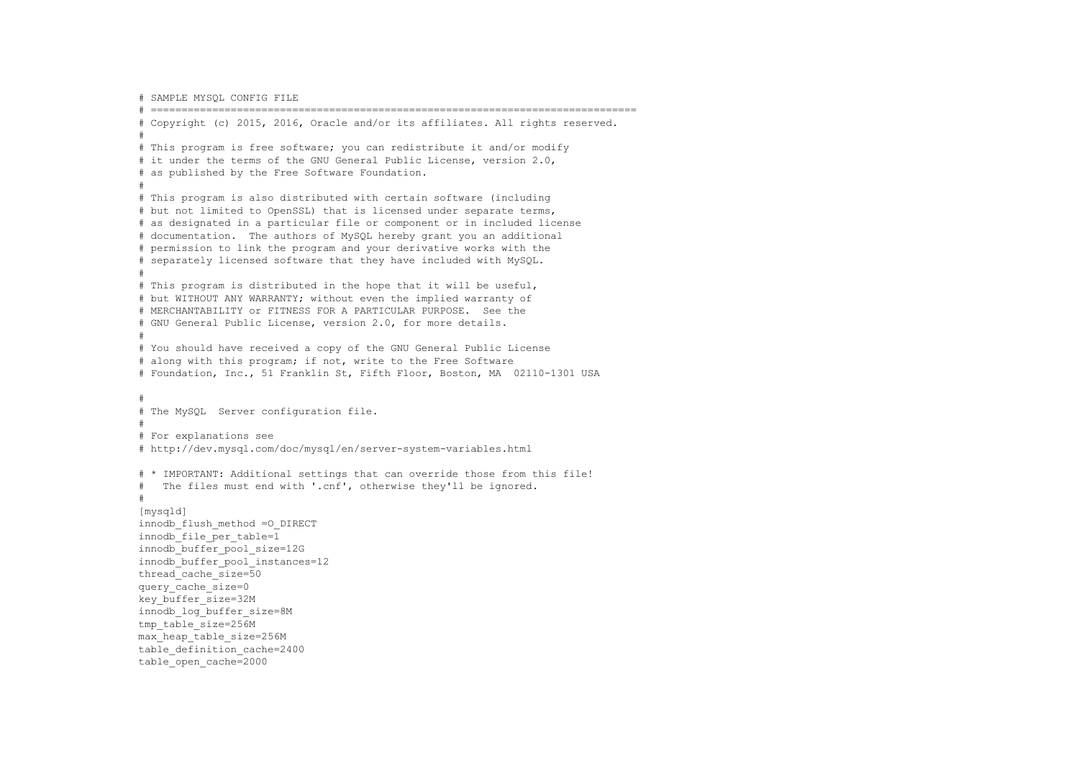# SAMPLE MYSQL CONFIG FILE # =============================================================================== # Copyright (c) 2015, 2016, Oracle and/or its affiliates. All rights reserved. # # This program is free software; you can redistribute it and/or modify # it under the terms of the GNU General Public License, version 2.0, # as published by the Free Software Foundation. # # This program is also distributed with certain software (including # but not limited to OpenSSL) that is licensed under separate terms, # as designated in a particular file or component or in included license # documentation. The authors of MySQL hereby grant you an additional # permission to link the program and your derivative works with the # separately licensed software that they have included with MySQL. # # This program is distributed in the hope that it will be useful, # but WITHOUT ANY WARRANTY; without even the implied warranty of # MERCHANTABILITY or FITNESS FOR A PARTICULAR PURPOSE. See the # GNU General Public License, version 2.0, for more details. # # You should have received a copy of the GNU General Public License # along with this program; if not, write to the Free Software # Foundation, Inc., 51 Franklin St, Fifth Floor, Boston, MA 02110-1301 USA # # The MySQL Server configuration file. # # For explanations see # http://dev.mysql.com/doc/mysql/en/server-system-variables.html # \* IMPORTANT: Additional settings that can override those from this file! # The files must end with '.cnf', otherwise they'll be ignored. # [mysqld] innodb\_flush\_method =O\_DIRECT innodb file per table=1 innodb\_buffer\_pool\_size=12G innodb\_buffer\_pool\_instances=12 thread cache size=50 query\_cache\_size=0 key\_buffer\_size=32M innodb\_log\_buffer\_size=8M tmp\_table\_size=256M max\_heap\_table\_size=256M table\_definition\_cache=2400 table\_open\_cache=2000